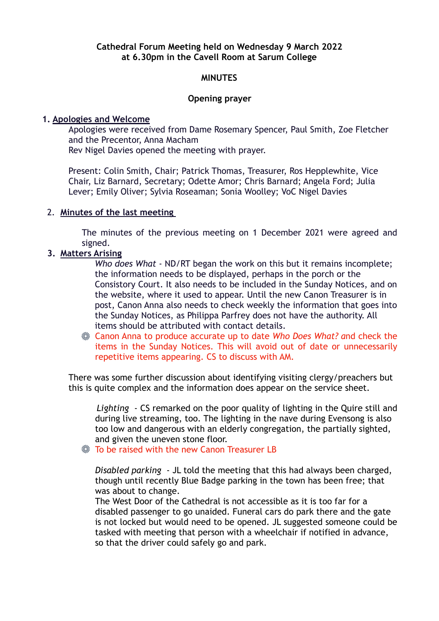## **Cathedral Forum Meeting held on Wednesday 9 March 2022 at 6.30pm in the Cavell Room at Sarum College**

### **MINUTES**

### **Opening prayer**

### **1. Apologies and Welcome**

 Apologies were received from Dame Rosemary Spencer, Paul Smith, Zoe Fletcher and the Precentor, Anna Macham

Rev Nigel Davies opened the meeting with prayer.

 Present: Colin Smith, Chair; Patrick Thomas, Treasurer, Ros Hepplewhite, Vice Chair, Liz Barnard, Secretary; Odette Amor; Chris Barnard; Angela Ford; Julia Lever; Emily Oliver; Sylvia Roseaman; Sonia Woolley; VoC Nigel Davies

### 2. **Minutes of the last meeting**

The minutes of the previous meeting on 1 December 2021 were agreed and signed.

### **3. Matters Arising**

*Who does What* - ND/RT began the work on this but it remains incomplete; the information needs to be displayed, perhaps in the porch or the Consistory Court. It also needs to be included in the Sunday Notices, and on the website, where it used to appear. Until the new Canon Treasurer is in post, Canon Anna also needs to check weekly the information that goes into the Sunday Notices, as Philippa Parfrey does not have the authority. All items should be attributed with contact details.

Canon Anna to produce accurate up to date *Who Does What? a*nd check the items in the Sunday Notices. This will avoid out of date or unnecessarily repetitive items appearing. CS to discuss with AM.

 There was some further discussion about identifying visiting clergy/preachers but this is quite complex and the information does appear on the service sheet.

 *Lighting* - CS remarked on the poor quality of lighting in the Quire still and during live streaming, too. The lighting in the nave during Evensong is also too low and dangerous with an elderly congregation, the partially sighted, and given the uneven stone floor.

**Society:** To be raised with the new Canon Treasurer LB

 *Disabled parking* - JL told the meeting that this had always been charged, though until recently Blue Badge parking in the town has been free; that was about to change.

 The West Door of the Cathedral is not accessible as it is too far for a disabled passenger to go unaided. Funeral cars do park there and the gate is not locked but would need to be opened. JL suggested someone could be tasked with meeting that person with a wheelchair if notified in advance, so that the driver could safely go and park.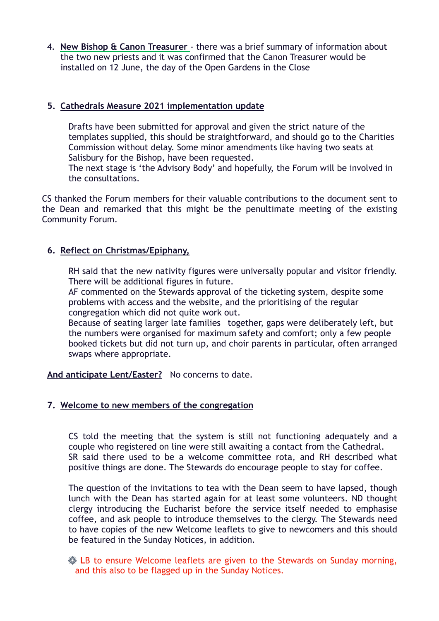4. **New Bishop & Canon Treasurer** - there was a brief summary of information about the two new priests and it was confirmed that the Canon Treasurer would be installed on 12 June, the day of the Open Gardens in the Close

# **5. Cathedrals Measure 2021 implementation update**

 Drafts have been submitted for approval and given the strict nature of the templates supplied, this should be straightforward, and should go to the Charities Commission without delay. Some minor amendments like having two seats at Salisbury for the Bishop, have been requested.

 The next stage is 'the Advisory Body' and hopefully, the Forum will be involved in the consultations.

CS thanked the Forum members for their valuable contributions to the document sent to the Dean and remarked that this might be the penultimate meeting of the existing Community Forum.

# **6. Reflect on Christmas/Epiphany,**

 RH said that the new nativity figures were universally popular and visitor friendly. There will be additional figures in future.

 AF commented on the Stewards approval of the ticketing system, despite some problems with access and the website, and the prioritising of the regular congregation which did not quite work out.

 Because of seating larger late families together, gaps were deliberately left, but the numbers were organised for maximum safety and comfort; only a few people booked tickets but did not turn up, and choir parents in particular, often arranged swaps where appropriate.

**And anticipate Lent/Easter?** No concerns to date.

## **7. Welcome to new members of the congregation**

CS told the meeting that the system is still not functioning adequately and a couple who registered on line were still awaiting a contact from the Cathedral. SR said there used to be a welcome committee rota, and RH described what positive things are done. The Stewards do encourage people to stay for coffee.

The question of the invitations to tea with the Dean seem to have lapsed, though lunch with the Dean has started again for at least some volunteers. ND thought clergy introducing the Eucharist before the service itself needed to emphasise coffee, and ask people to introduce themselves to the clergy. The Stewards need to have copies of the new Welcome leaflets to give to newcomers and this should be featured in the Sunday Notices, in addition.

**ER to ensure Welcome leaflets are given to the Stewards on Sunday morning,** and this also to be flagged up in the Sunday Notices.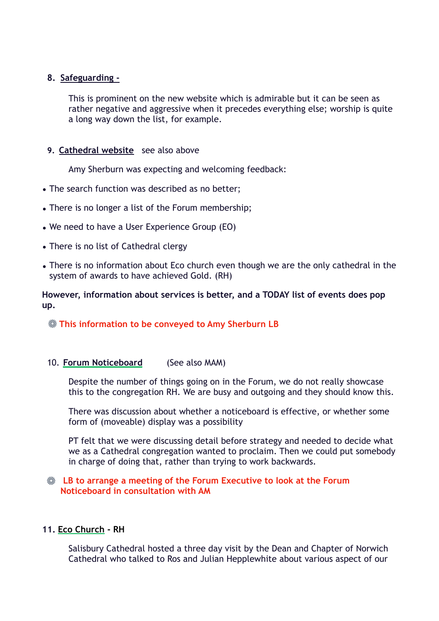## **8. Safeguarding -**

 This is prominent on the new website which is admirable but it can be seen as rather negative and aggressive when it precedes everything else; worship is quite a long way down the list, for example.

## **9. Cathedral website** see also above

Amy Sherburn was expecting and welcoming feedback:

- **•** The search function was described as no better;
- **•** There is no longer a list of the Forum membership;
- **•** We need to have a User Experience Group (EO)
- **•** There is no list of Cathedral clergy
- **•** There is no information about Eco church even though we are the only cathedral in the system of awards to have achieved Gold. (RH)

**However, information about services is better, and a TODAY list of events does pop up.** 

# **This information to be conveyed to Amy Sherburn LB**

## 10. **Forum Noticeboard** (See also MAM)

 Despite the number of things going on in the Forum, we do not really showcase this to the congregation RH. We are busy and outgoing and they should know this.

 There was discussion about whether a noticeboard is effective, or whether some form of (moveable) display was a possibility

 PT felt that we were discussing detail before strategy and needed to decide what we as a Cathedral congregation wanted to proclaim. Then we could put somebody in charge of doing that, rather than trying to work backwards.

# **LB to arrange a meeting of the Forum Executive to look at the Forum Noticeboard in consultation with AM**

## **11. Eco Church - RH**

 Salisbury Cathedral hosted a three day visit by the Dean and Chapter of Norwich Cathedral who talked to Ros and Julian Hepplewhite about various aspect of our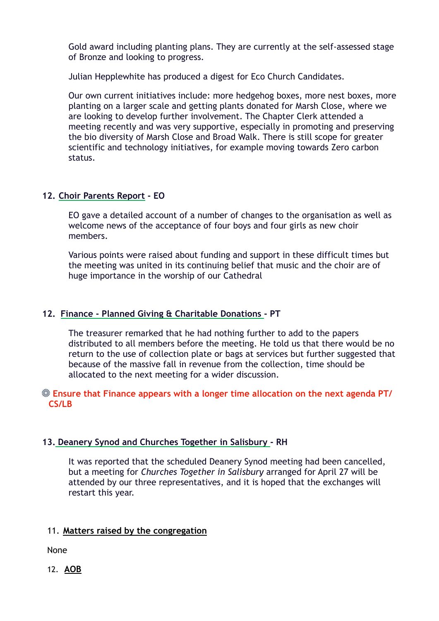Gold award including planting plans. They are currently at the self-assessed stage of Bronze and looking to progress.

Julian Hepplewhite has produced a digest for Eco Church Candidates.

 Our own current initiatives include: more hedgehog boxes, more nest boxes, more planting on a larger scale and getting plants donated for Marsh Close, where we are looking to develop further involvement. The Chapter Clerk attended a meeting recently and was very supportive, especially in promoting and preserving the bio diversity of Marsh Close and Broad Walk. There is still scope for greater scientific and technology initiatives, for example moving towards Zero carbon status.

# **12. Choir Parents Report - EO**

 EO gave a detailed account of a number of changes to the organisation as well as welcome news of the acceptance of four boys and four girls as new choir members.

 Various points were raised about funding and support in these difficult times but the meeting was united in its continuing belief that music and the choir are of huge importance in the worship of our Cathedral

# **12. Finance - Planned Giving & Charitable Donations - PT**

 The treasurer remarked that he had nothing further to add to the papers distributed to all members before the meeting. He told us that there would be no return to the use of collection plate or bags at services but further suggested that because of the massive fall in revenue from the collection, time should be allocated to the next meeting for a wider discussion.

## **Ensure that Finance appears with a longer time allocation on the next agenda PT/ CS/LB**

## **13. Deanery Synod and Churches Together in Salisbury - RH**

 It was reported that the scheduled Deanery Synod meeting had been cancelled, but a meeting for *Churches Together in Salisbury* arranged for April 27 will be attended by our three representatives, and it is hoped that the exchanges will restart this year.

## 11. **Matters raised by the congregation**

None

12. **AOB**